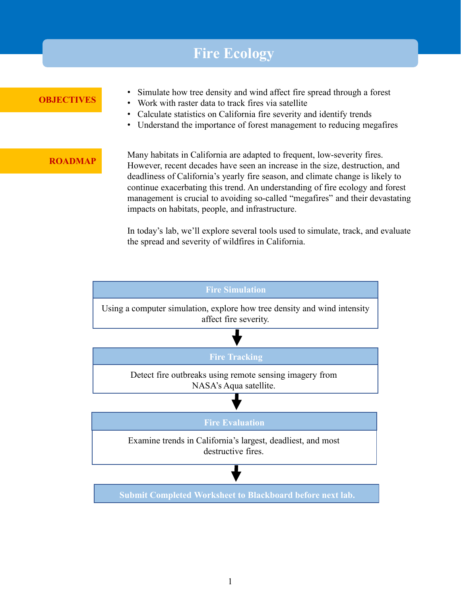## **Fire Ecology OBJECTIVES ROADMAP** Many habitats in California are adapted to frequent, low-severity fires. However, recent decades have seen an increase in the size, destruction, and deadliness of California's yearly fire season, and climate change is likely to continue exacerbating this trend. An understanding of fire ecology and forest management is crucial to avoiding so-called "megafires" and their devastating impacts on habitats, people, and infrastructure. • Simulate how tree density and wind affect fire spread through a forest • Work with raster data to track fires via satellite • Calculate statistics on California fire severity and identify trends • Understand the importance of forest management to reducing megafires

In today's lab, we'll explore several tools used to simulate, track, and evaluate the spread and severity of wildfires in California.

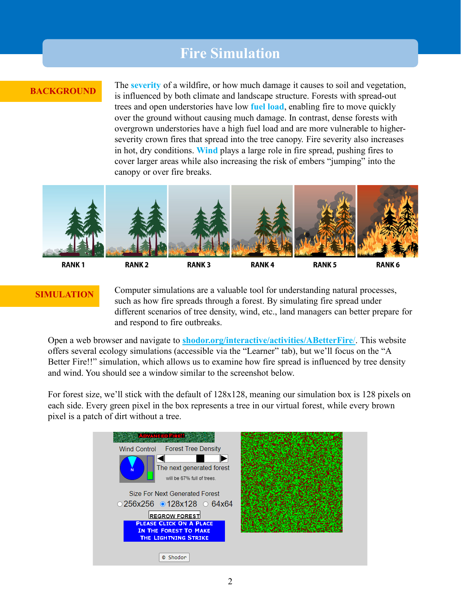## **Fire Simulation**

### **BACKGROUND**

The **severity** of a wildfire, or how much damage it causes to soil and vegetation, is influenced by both climate and landscape structure. Forests with spread-out trees and open understories have low **fuel load**, enabling fire to move quickly over the ground without causing much damage. In contrast, dense forests with overgrown understories have a high fuel load and are more vulnerable to higherseverity crown fires that spread into the tree canopy. Fire severity also increases in hot, dry conditions. **Wind** plays a large role in fire spread, pushing fires to cover larger areas while also increasing the risk of embers "jumping" into the canopy or over fire breaks.



**RANK1** 

## **RANK3**

**RANK4** 

**RANK6** 

**SIMULATION** Computer simulations are a valuable tool for understanding natural processes, such as how fire spreads through a forest. By simulating fire spread under different scenarios of tree density, wind, etc., land managers can better prepare for and respond to fire outbreaks.

Open a web browser and navigate to **[shodor.org/interactive/activities/ABetterFire](http://www.shodor.org/interactivate/activities/ABetterFire/)**/. This website offers several ecology simulations (accessible via the "Learner" tab), but we'll focus on the "A Better Fire!!" simulation, which allows us to examine how fire spread is influenced by tree density and wind. You should see a window similar to the screenshot below.

For forest size, we'll stick with the default of 128x128, meaning our simulation box is 128 pixels on each side. Every green pixel in the box represents a tree in our virtual forest, while every brown pixel is a patch of dirt without a tree.

| <b>ADVANCED FIRE!!</b>                                                                 |  |
|----------------------------------------------------------------------------------------|--|
| Wind Control Forest Tree Density                                                       |  |
| The next generated forest<br>Ń<br>will be 67% full of trees.                           |  |
| Size For Next Generated Forest                                                         |  |
| ○256x256 0128x128 064x64                                                               |  |
| <b>REGROW FOREST</b>                                                                   |  |
| <b>PLEASE CLICK ON A PLACE</b><br>IN THE FOREST TO MAKE<br><b>THE LIGHTNING STRIKE</b> |  |
| © Shodor                                                                               |  |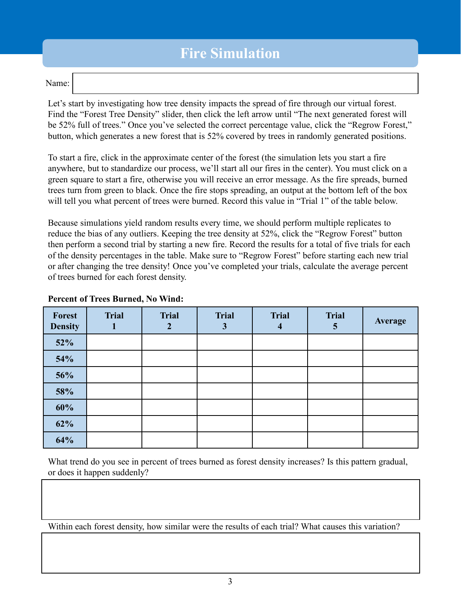# **Fire Simulation**

#### Name:

Let's start by investigating how tree density impacts the spread of fire through our virtual forest. Find the "Forest Tree Density" slider, then click the left arrow until "The next generated forest will be 52% full of trees." Once you've selected the correct percentage value, click the "Regrow Forest," button, which generates a new forest that is 52% covered by trees in randomly generated positions.

To start a fire, click in the approximate center of the forest (the simulation lets you start a fire anywhere, but to standardize our process, we'll start all our fires in the center). You must click on a green square to start a fire, otherwise you will receive an error message. As the fire spreads, burned trees turn from green to black. Once the fire stops spreading, an output at the bottom left of the box will tell you what percent of trees were burned. Record this value in "Trial 1" of the table below.

Because simulations yield random results every time, we should perform multiple replicates to reduce the bias of any outliers. Keeping the tree density at 52%, click the "Regrow Forest" button then perform a second trial by starting a new fire. Record the results for a total of five trials for each of the density percentages in the table. Make sure to "Regrow Forest" before starting each new trial or after changing the tree density! Once you've completed your trials, calculate the average percent of trees burned for each forest density.

| Forest<br><b>Density</b> | <b>Trial</b> | <b>Trial</b> | <b>Trial</b><br>3 | <b>Trial</b><br>4 | <b>Trial</b><br>$\mathbf{c}$ | Average |
|--------------------------|--------------|--------------|-------------------|-------------------|------------------------------|---------|
| 52%                      |              |              |                   |                   |                              |         |
| 54%                      |              |              |                   |                   |                              |         |
| 56%                      |              |              |                   |                   |                              |         |
| 58%                      |              |              |                   |                   |                              |         |
| 60%                      |              |              |                   |                   |                              |         |
| 62%                      |              |              |                   |                   |                              |         |
| 64%                      |              |              |                   |                   |                              |         |

#### **Percent of Trees Burned, No Wind:**

What trend do you see in percent of trees burned as forest density increases? Is this pattern gradual, or does it happen suddenly?

Within each forest density, how similar were the results of each trial? What causes this variation?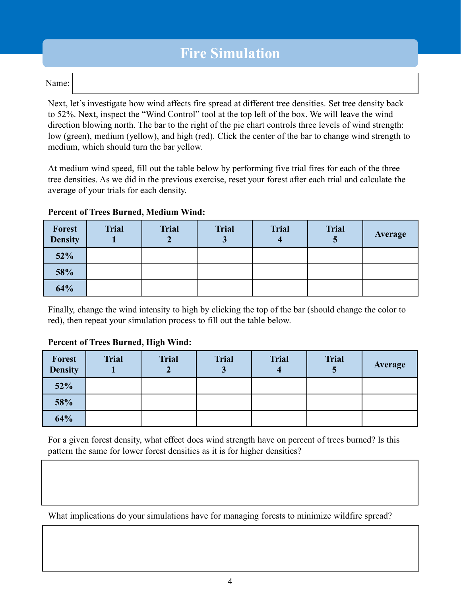# **Fire Simulation**

#### Name:

Next, let's investigate how wind affects fire spread at different tree densities. Set tree density back to 52%. Next, inspect the "Wind Control" tool at the top left of the box. We will leave the wind direction blowing north. The bar to the right of the pie chart controls three levels of wind strength: low (green), medium (yellow), and high (red). Click the center of the bar to change wind strength to medium, which should turn the bar yellow.

At medium wind speed, fill out the table below by performing five trial fires for each of the three tree densities. As we did in the previous exercise, reset your forest after each trial and calculate the average of your trials for each density.

| <b>Forest</b><br><b>Density</b> | <b>Trial</b> | <b>Trial</b> | <b>Trial</b><br>ມ | <b>Trial</b> | <b>Trial</b><br>J | Average |
|---------------------------------|--------------|--------------|-------------------|--------------|-------------------|---------|
| 52%                             |              |              |                   |              |                   |         |
| 58%                             |              |              |                   |              |                   |         |
| 64%                             |              |              |                   |              |                   |         |

**Percent of Trees Burned, Medium Wind:**

Finally, change the wind intensity to high by clicking the top of the bar (should change the color to red), then repeat your simulation process to fill out the table below.

### **Percent of Trees Burned, High Wind:**

| <b>Forest</b><br><b>Density</b> | <b>Trial</b> | <b>Trial</b> | <b>Trial</b><br>J | <b>Trial</b> | <b>Trial</b><br>J | Average |
|---------------------------------|--------------|--------------|-------------------|--------------|-------------------|---------|
| 52%                             |              |              |                   |              |                   |         |
| 58%                             |              |              |                   |              |                   |         |
| 64%                             |              |              |                   |              |                   |         |

For a given forest density, what effect does wind strength have on percent of trees burned? Is this pattern the same for lower forest densities as it is for higher densities?

What implications do your simulations have for managing forests to minimize wildfire spread?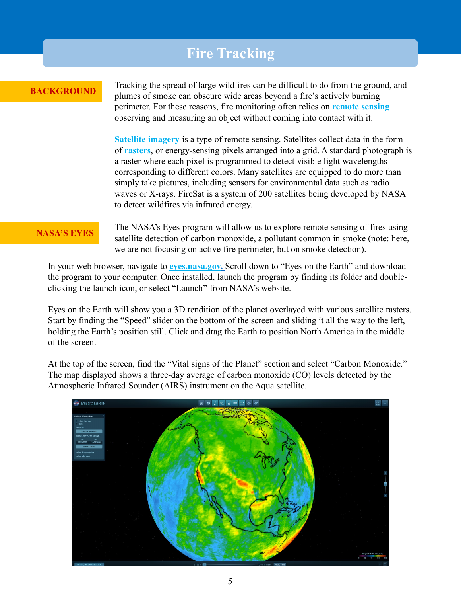## **Fire Tracking**

#### **BACKGROUND**

Tracking the spread of large wildfires can be difficult to do from the ground, and plumes of smoke can obscure wide areas beyond a fire's actively burning perimeter. For these reasons, fire monitoring often relies on **remote sensing** – observing and measuring an object without coming into contact with it.

**Satellite imagery** is a type of remote sensing. Satellites collect data in the form of **rasters**, or energy-sensing pixels arranged into a grid. A standard photograph is a raster where each pixel is programmed to detect visible light wavelengths corresponding to different colors. Many satellites are equipped to do more than simply take pictures, including sensors for environmental data such as radio waves or X-rays. FireSat is a system of 200 satellites being developed by NASA to detect wildfires via infrared energy.

**NASA'S EYES** The NASA's Eyes program will allow us to explore remote sensing of fires using satellite detection of carbon monoxide, a pollutant common in smoke (note: here, we are not focusing on active fire perimeter, but on smoke detection).

In your web browser, navigate to **[eyes.nasa.gov.](https://eyes.nasa.gov/)** Scroll down to "Eyes on the Earth" and download the program to your computer. Once installed, launch the program by finding its folder and doubleclicking the launch icon, or select "Launch" from NASA's website.

Eyes on the Earth will show you a 3D rendition of the planet overlayed with various satellite rasters. Start by finding the "Speed" slider on the bottom of the screen and sliding it all the way to the left, holding the Earth's position still. Click and drag the Earth to position North America in the middle of the screen.

At the top of the screen, find the "Vital signs of the Planet" section and select "Carbon Monoxide." The map displayed shows a three-day average of carbon monoxide (CO) levels detected by the Atmospheric Infrared Sounder (AIRS) instrument on the Aqua satellite.

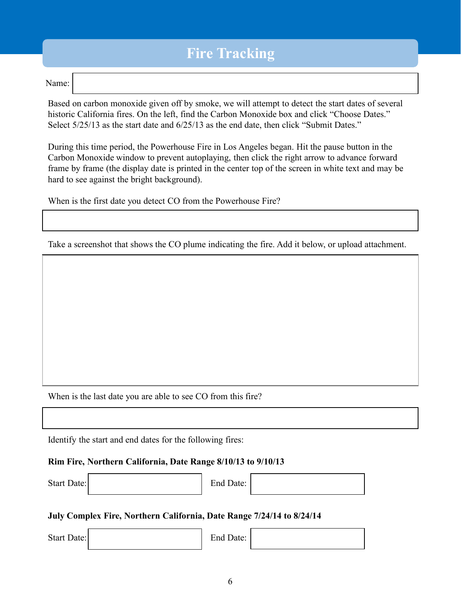# **Fire Tracking**

#### Name:

Based on carbon monoxide given off by smoke, we will attempt to detect the start dates of several historic California fires. On the left, find the Carbon Monoxide box and click "Choose Dates." Select 5/25/13 as the start date and 6/25/13 as the end date, then click "Submit Dates."

During this time period, the Powerhouse Fire in Los Angeles began. Hit the pause button in the Carbon Monoxide window to prevent autoplaying, then click the right arrow to advance forward frame by frame (the display date is printed in the center top of the screen in white text and may be hard to see against the bright background).

When is the first date you detect CO from the Powerhouse Fire?

Take a screenshot that shows the CO plume indicating the fire. Add it below, or upload attachment.

When is the last date you are able to see CO from this fire?

Identify the start and end dates for the following fires:

#### **Rim Fire, Northern California, Date Range 8/10/13 to 9/10/13**

Start Date: End Date:

### **July Complex Fire, Northern California, Date Range 7/24/14 to 8/24/14**

Start Date: End Date: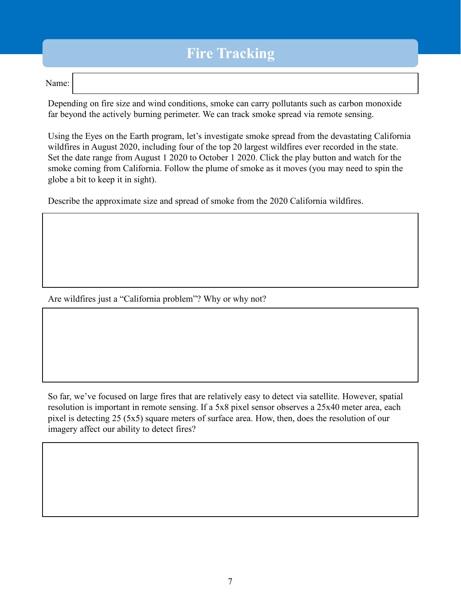# **Fire Tracking**

#### Name:

Depending on fire size and wind conditions, smoke can carry pollutants such as carbon monoxide far beyond the actively burning perimeter. We can track smoke spread via remote sensing.

Using the Eyes on the Earth program, let's investigate smoke spread from the devastating California wildfires in August 2020, including four of the top 20 largest wildfires ever recorded in the state. Set the date range from August 1 2020 to October 1 2020. Click the play button and watch for the smoke coming from California. Follow the plume of smoke as it moves (you may need to spin the globe a bit to keep it in sight).

Describe the approximate size and spread of smoke from the 2020 California wildfires.

Are wildfires just a "California problem"? Why or why not?

So far, we've focused on large fires that are relatively easy to detect via satellite. However, spatial resolution is important in remote sensing. If a 5x8 pixel sensor observes a 25x40 meter area, each pixel is detecting 25 (5x5) square meters of surface area. How, then, does the resolution of our imagery affect our ability to detect fires?